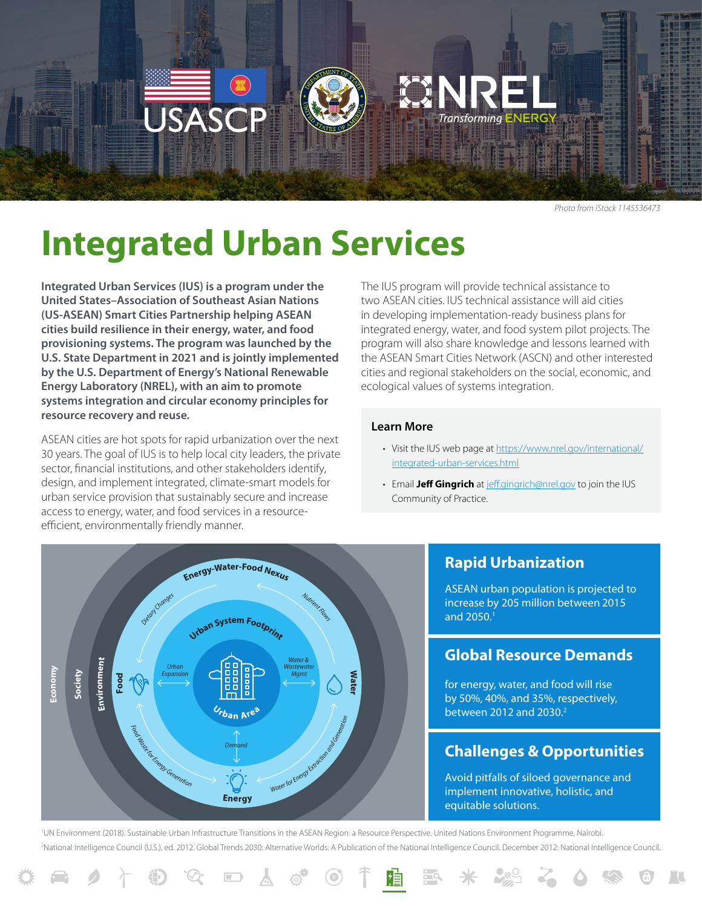

*Photo from iStock 1145536473*

# **Integrated Urban Services**

**Integrated Urban Services (IUS) is a program under the United States–Association of Southeast Asian Nations (US-ASEAN) Smart Cities Partnership helping ASEAN cities build resilience in their energy, water, and food provisioning systems. The program was launched by the U.S. State Department in 2021 and is jointly implemented by the U.S. Department of Energy's National Renewable Energy Laboratory (NREL), with an aim to promote systems integration and circular economy principles for resource recovery and reuse.** 

ASEAN cities are hot spots for rapid urbanization over the next 30 years. The goal of IUS is to help local city leaders, the private sector, financial institutions, and other stakeholders identify, design, and implement integrated, climate-smart models for urban service provision that sustainably secure and increase access to energy, water, and food services in a resourceefficient, environmentally friendly manner.

The IUS program will provide technical assistance to two ASEAN cities. IUS technical assistance will aid cities in developing implementation-ready business plans for integrated energy, water, and food system pilot projects. The program will also share knowledge and lessons learned with the ASEAN Smart Cities Network (ASCN) and other interested cities and regional stakeholders on the social, economic, and ecological values of systems integration.

#### **Learn More**

- Visit the IUS web page at [https://www.nrel.gov/international/](https://www.nrel.gov/international/integrated-urban-services.html) [integrated-urban-services.html](https://www.nrel.gov/international/integrated-urban-services.html)
- Email **Jeff Gingrich** at [jeff.gingrich@nrel.gov](mailto:jeff.gingrich%40nrel.gov?subject=) to join the IUS Community of Practice.



人

 $\{0\}$ 

 $\boxed{1}$ 

**Rapid Urbanization**

ASEAN urban population is projected to increase by 205 million between 2015 and 2050. 1

#### **Global Resource Demands**

for energy, water, and food will rise by 50%, 40%, and 35%, respectively, between 2012 and 2030.<sup>2</sup>

### **Challenges & Opportunities**

Avoid pitfalls of siloed governance and implement innovative, holistic, and equitable solutions.

<sup>1</sup>UN Environment (2018). Sustainable Urban Infrastructure Transitions in the ASEAN Region: a Resource Perspective. United Nations Environment Programme, Nairobi. 2 National Intelligence Council (U.S.), ed. 2012. Global Trends 2030: Alternative Worlds: A Publication of the National Intelligence Council. December 2012: National Intelligence Council.